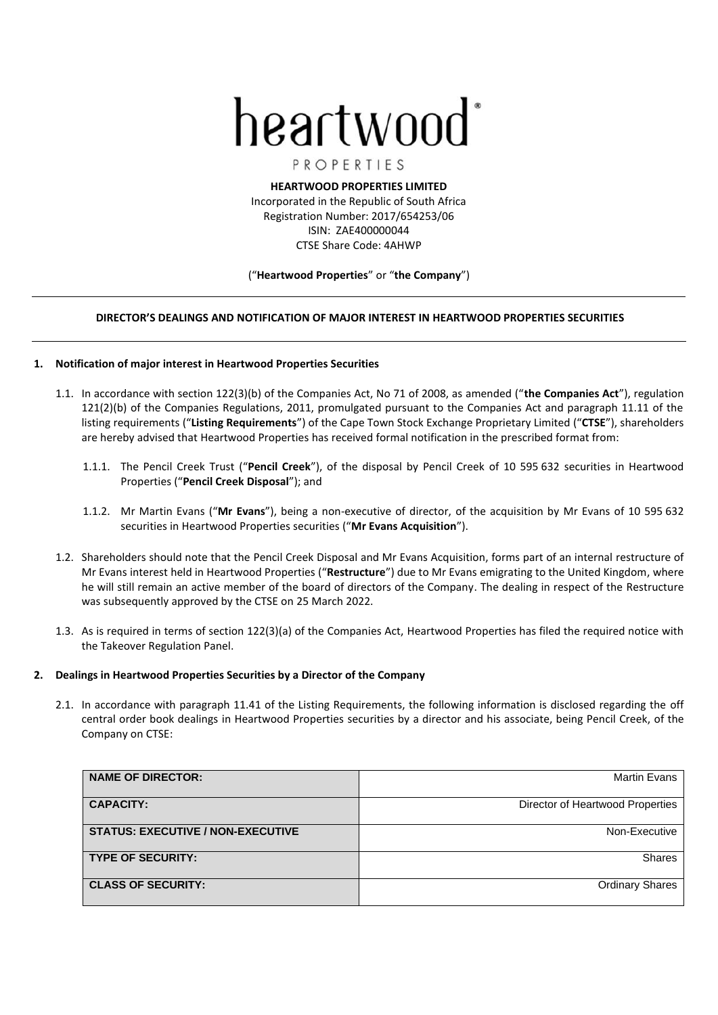# heartwood

PROPERTIES

**HEARTWOOD PROPERTIES LIMITED** Incorporated in the Republic of South Africa Registration Number: 2017/654253/06 ISIN: ZAE400000044 CTSE Share Code: 4AHWP

# ("**Heartwood Properties**" or "**the Company**")

# **DIRECTOR'S DEALINGS AND NOTIFICATION OF MAJOR INTEREST IN HEARTWOOD PROPERTIES SECURITIES**

# **1. Notification of major interest in Heartwood Properties Securities**

- 1.1. In accordance with section 122(3)(b) of the Companies Act, No 71 of 2008, as amended ("**the Companies Act**"), regulation 121(2)(b) of the Companies Regulations, 2011, promulgated pursuant to the Companies Act and paragraph 11.11 of the listing requirements ("**Listing Requirements**") of the Cape Town Stock Exchange Proprietary Limited ("**CTSE**"), shareholders are hereby advised that Heartwood Properties has received formal notification in the prescribed format from:
	- 1.1.1. The Pencil Creek Trust ("**Pencil Creek**"), of the disposal by Pencil Creek of 10 595 632 securities in Heartwood Properties ("**Pencil Creek Disposal**"); and
	- 1.1.2. Mr Martin Evans ("**Mr Evans**"), being a non-executive of director, of the acquisition by Mr Evans of 10 595 632 securities in Heartwood Properties securities ("**Mr Evans Acquisition**").
- 1.2. Shareholders should note that the Pencil Creek Disposal and Mr Evans Acquisition, forms part of an internal restructure of Mr Evans interest held in Heartwood Properties ("**Restructure**") due to Mr Evans emigrating to the United Kingdom, where he will still remain an active member of the board of directors of the Company. The dealing in respect of the Restructure was subsequently approved by the CTSE on 25 March 2022.
- 1.3. As is required in terms of section 122(3)(a) of the Companies Act, Heartwood Properties has filed the required notice with the Takeover Regulation Panel.

# **2. Dealings in Heartwood Properties Securities by a Director of the Company**

2.1. In accordance with paragraph 11.41 of the Listing Requirements, the following information is disclosed regarding the off central order book dealings in Heartwood Properties securities by a director and his associate, being Pencil Creek, of the Company on CTSE:

| <b>NAME OF DIRECTOR:</b>                 | Martin Evans                     |
|------------------------------------------|----------------------------------|
| <b>CAPACITY:</b>                         | Director of Heartwood Properties |
| <b>STATUS: EXECUTIVE / NON-EXECUTIVE</b> | Non-Executive                    |
| <b>TYPE OF SECURITY:</b>                 | <b>Shares</b>                    |
| <b>CLASS OF SECURITY:</b>                | <b>Ordinary Shares</b>           |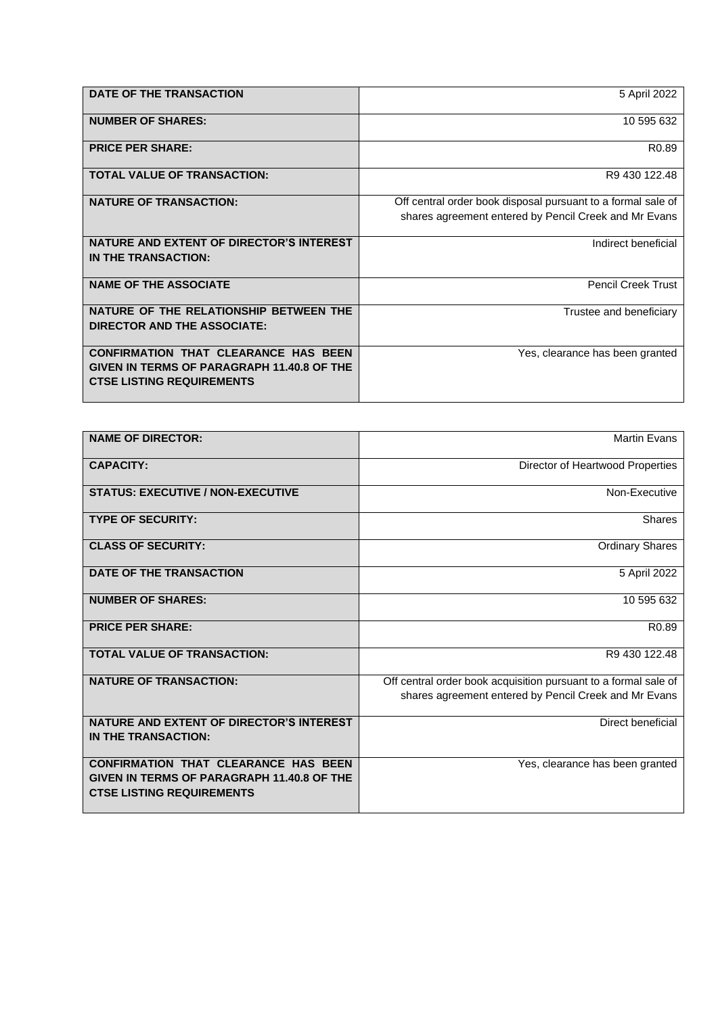| DATE OF THE TRANSACTION                                                                                                              | 5 April 2022                                                                                                          |
|--------------------------------------------------------------------------------------------------------------------------------------|-----------------------------------------------------------------------------------------------------------------------|
| <b>NUMBER OF SHARES:</b>                                                                                                             | 10 595 632                                                                                                            |
| <b>PRICE PER SHARE:</b>                                                                                                              | R <sub>0.89</sub>                                                                                                     |
| <b>TOTAL VALUE OF TRANSACTION:</b>                                                                                                   | R9 430 122.48                                                                                                         |
| <b>NATURE OF TRANSACTION:</b>                                                                                                        | Off central order book disposal pursuant to a formal sale of<br>shares agreement entered by Pencil Creek and Mr Evans |
| NATURE AND EXTENT OF DIRECTOR'S INTEREST<br>IN THE TRANSACTION:                                                                      | Indirect beneficial                                                                                                   |
| <b>NAME OF THE ASSOCIATE</b>                                                                                                         | <b>Pencil Creek Trust</b>                                                                                             |
| NATURE OF THE RELATIONSHIP BETWEEN THE<br>DIRECTOR AND THE ASSOCIATE:                                                                | Trustee and beneficiary                                                                                               |
| <b>CONFIRMATION THAT CLEARANCE HAS BEEN</b><br><b>GIVEN IN TERMS OF PARAGRAPH 11.40.8 OF THE</b><br><b>CTSE LISTING REQUIREMENTS</b> | Yes, clearance has been granted                                                                                       |

| <b>NAME OF DIRECTOR:</b>                                                                                                      | <b>Martin Evans</b>                                             |
|-------------------------------------------------------------------------------------------------------------------------------|-----------------------------------------------------------------|
| <b>CAPACITY:</b>                                                                                                              | Director of Heartwood Properties                                |
| <b>STATUS: EXECUTIVE / NON-EXECUTIVE</b>                                                                                      | Non-Executive                                                   |
| <b>TYPE OF SECURITY:</b>                                                                                                      | Shares                                                          |
| <b>CLASS OF SECURITY:</b>                                                                                                     | <b>Ordinary Shares</b>                                          |
| DATE OF THE TRANSACTION                                                                                                       | 5 April 2022                                                    |
| <b>NUMBER OF SHARES:</b>                                                                                                      | 10 595 632                                                      |
| <b>PRICE PER SHARE:</b>                                                                                                       | R <sub>0.89</sub>                                               |
| <b>TOTAL VALUE OF TRANSACTION:</b>                                                                                            | R9 430 122.48                                                   |
| <b>NATURE OF TRANSACTION:</b>                                                                                                 | Off central order book acquisition pursuant to a formal sale of |
|                                                                                                                               | shares agreement entered by Pencil Creek and Mr Evans           |
| <b>NATURE AND EXTENT OF DIRECTOR'S INTEREST</b><br>IN THE TRANSACTION:                                                        | Direct beneficial                                               |
| <b>CONFIRMATION THAT CLEARANCE HAS BEEN</b><br>GIVEN IN TERMS OF PARAGRAPH 11.40.8 OF THE<br><b>CTSE LISTING REQUIREMENTS</b> | Yes, clearance has been granted                                 |